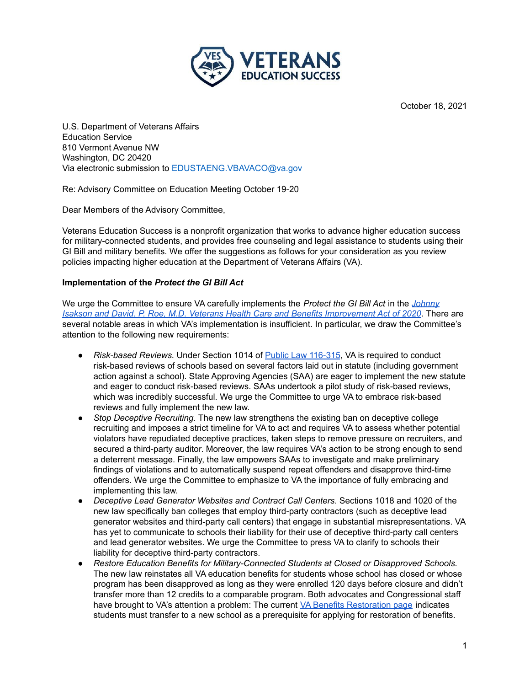

October 18, 2021

U.S. Department of Veterans Affairs Education Service 810 Vermont Avenue NW Washington, DC 20420 Via electronic submission to EDUSTAENG.VBAVACO@va.gov

Re: Advisory Committee on Education Meeting October 19-20

Dear Members of the Advisory Committee,

Veterans Education Success is a nonprofit organization that works to advance higher education success for military-connected students, and provides free counseling and legal assistance to students using their GI Bill and military benefits. We offer the suggestions as follows for your consideration as you review policies impacting higher education at the Department of Veterans Affairs (VA).

### **Implementation of the** *Protect the GI Bill Act*

We urge the Committee to ensure VA carefully implements the *Protect the GI Bill Act* in the *[Johnny](https://www.congress.gov/bill/116th-congress/house-bill/7105/text#toc-S1) Isakson and David. P. Roe, M.D. Veterans Health Care and Benefits [Improvement](https://www.congress.gov/bill/116th-congress/house-bill/7105/text#toc-S1) Act of 2020*. There are several notable areas in which VA's implementation is insufficient. In particular, we draw the Committee's attention to the following new requirements:

- *Risk-based Reviews.* Under Section 1014 of Public Law [116-315](https://www.govinfo.gov/content/pkg/PLAW-116publ315/pdf/PLAW-116publ315.pdf), VA is required to conduct risk-based reviews of schools based on several factors laid out in statute (including government action against a school). State Approving Agencies (SAA) are eager to implement the new statute and eager to conduct risk-based reviews. SAAs undertook a pilot study of risk-based reviews, which was incredibly successful. We urge the Committee to urge VA to embrace risk-based reviews and fully implement the new law.
- *Stop Deceptive Recruiting.* The new law strengthens the existing ban on deceptive college recruiting and imposes a strict timeline for VA to act and requires VA to assess whether potential violators have repudiated deceptive practices, taken steps to remove pressure on recruiters, and secured a third-party auditor. Moreover, the law requires VA's action to be strong enough to send a deterrent message. Finally, the law empowers SAAs to investigate and make preliminary findings of violations and to automatically suspend repeat offenders and disapprove third-time offenders. We urge the Committee to emphasize to VA the importance of fully embracing and implementing this law.
- *Deceptive Lead Generator Websites and Contract Call Centers*. Sections 1018 and 1020 of the new law specifically ban colleges that employ third-party contractors (such as deceptive lead generator websites and third-party call centers) that engage in substantial misrepresentations. VA has yet to communicate to schools their liability for their use of deceptive third-party call centers and lead generator websites. We urge the Committee to press VA to clarify to schools their liability for deceptive third-party contractors.
- *Restore Education Benefits for Military-Connected Students at Closed or Disapproved Schools.* The new law reinstates all VA education benefits for students whose school has closed or whose program has been disapproved as long as they were enrolled 120 days before closure and didn't transfer more than 12 credits to a comparable program. Both advocates and Congressional staff have brought to VA's attention a problem: The current VA Benefits [Restoration](https://www.benefits.va.gov/gibill/fgib/restoration.asp) page indicates students must transfer to a new school as a prerequisite for applying for restoration of benefits.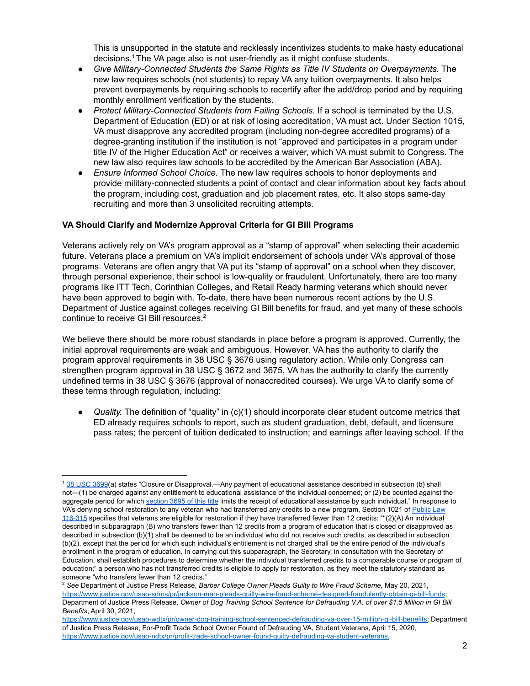This is unsupported in the statute and recklessly incentivizes students to make hasty educational decisions. $1$  The VA page also is not user-friendly as it might confuse students.

- *Give Military-Connected Students the Same Rights as Title IV Students on Overpayments.* The new law requires schools (not students) to repay VA any tuition overpayments. It also helps prevent overpayments by requiring schools to recertify after the add/drop period and by requiring monthly enrollment verification by the students.
- *Protect Military-Connected Students from Failing Schools.* If a school is terminated by the U.S. Department of Education (ED) or at risk of losing accreditation, VA must act. Under Section 1015, VA must disapprove any accredited program (including non-degree accredited programs) of a degree-granting institution if the institution is not "approved and participates in a program under title IV of the Higher Education Act" or receives a waiver, which VA must submit to Congress. The new law also requires law schools to be accredited by the American Bar Association (ABA).
- *Ensure Informed School Choice.* The new law requires schools to honor deployments and provide military-connected students a point of contact and clear information about key facts about the program, including cost, graduation and job placement rates, etc. It also stops same-day recruiting and more than 3 unsolicited recruiting attempts.

### **VA Should Clarify and Modernize Approval Criteria for GI Bill Programs**

Veterans actively rely on VA's program approval as a "stamp of approval" when selecting their academic future. Veterans place a premium on VA's implicit endorsement of schools under VA's approval of those programs. Veterans are often angry that VA put its "stamp of approval" on a school when they discover, through personal experience, their school is low-quality or fraudulent. Unfortunately, there are too many programs like ITT Tech, Corinthian Colleges, and Retail Ready harming veterans which should never have been approved to begin with. To-date, there have been numerous recent actions by the U.S. Department of Justice against colleges receiving GI Bill benefits for fraud, and yet many of these schools continue to receive GI Bill resources. 2

We believe there should be more robust standards in place before a program is approved. Currently, the initial approval requirements are weak and ambiguous. However, VA has the authority to clarify the program approval requirements in 38 USC § 3676 using regulatory action. While only Congress can strengthen program approval in 38 USC § 3672 and 3675, VA has the authority to clarify the currently undefined terms in 38 USC § 3676 (approval of nonaccredited courses). We urge VA to clarify some of these terms through regulation, including:

• *Quality*. The definition of "quality" in (c)(1) should incorporate clear student outcome metrics that ED already requires schools to report, such as student graduation, debt, default, and licensure pass rates; the percent of tuition dedicated to instruction; and earnings after leaving school. If the

<sup>1</sup> 38 USC [3699\(](https://www.law.cornell.edu/uscode/text/38/3699)a) states "Closure or Disapproval.—Any payment of educational assistance described in subsection (b) shall not—(1) be charged against any entitlement to educational assistance of the individual concerned; or (2) be counted against the aggregate period for which [section](https://www.law.cornell.edu/uscode/text/38/3695) 3695 of this title limits the receipt of educational assistance by such individual." In response to VA's denying school restoration to any veteran who had transferred any credits to a new program, Section 1021 of [Public](https://www.govinfo.gov/content/pkg/PLAW-116publ315/pdf/PLAW-116publ315.pdf) Law [116-315](https://www.govinfo.gov/content/pkg/PLAW-116publ315/pdf/PLAW-116publ315.pdf) specifies that veterans are eligible for restoration if they have transferred fewer than 12 credits: "''(2)(A) An individual described in subparagraph (B) who transfers fewer than 12 credits from a program of education that is closed or disapproved as described in subsection (b)(1) shall be deemed to be an individual who did not receive such credits, as described in subsection (b)(2), except that the period for which such individual's entitlement is not charged shall be the entire period of the individual's enrollment in the program of education. In carrying out this subparagraph, the Secretary, in consultation with the Secretary of Education, shall establish procedures to determine whether the individual transferred credits to a comparable course or program of education;" a person who has not transferred credits is eligible to apply for restoration, as they meet the statutory standard as someone "who transfers fewer than 12 credits."

<sup>2</sup> *See* Department of Justice Press Release, *Barber College Owner Pleads Guilty to Wire Fraud Scheme,* May 20, 2021[,](https://www.justice.gov/usao-sdms/pr/jackson-man-pleads-guilty-wire-fraud-scheme-designed-fraudulently-obtain-gi-bill-funds) <https://www.justice.gov/usao-sdms/pr/jackson-man-pleads-guilty-wire-fraud-scheme-designed-fraudulently-obtain-gi-bill-funds>; Department of Justice Press Release, Owner of Dog Training School Sentence for Defrauding V.A. of over \$1.5 Million in GI Bill *Benefits*, April 30, 2021,

[https://www.justice.gov/usao-wdtx/pr/owner-dog-training-school-sentenced-defrauding-va-over-15-million-gi-bill-benefits;](https://www.justice.gov/usao-wdtx/pr/owner-dog-training-school-sentenced-defrauding-va-over-15-million-gi-bill-benefits) Department of Justice Press Release, For-Profit Trade School Owner Found of Defrauding VA, Student Veterans, April 15, 2020, <https://www.justice.gov/usao-ndtx/pr/profit-trade-school-owner-found-guilty-defrauding-va-student-veterans>.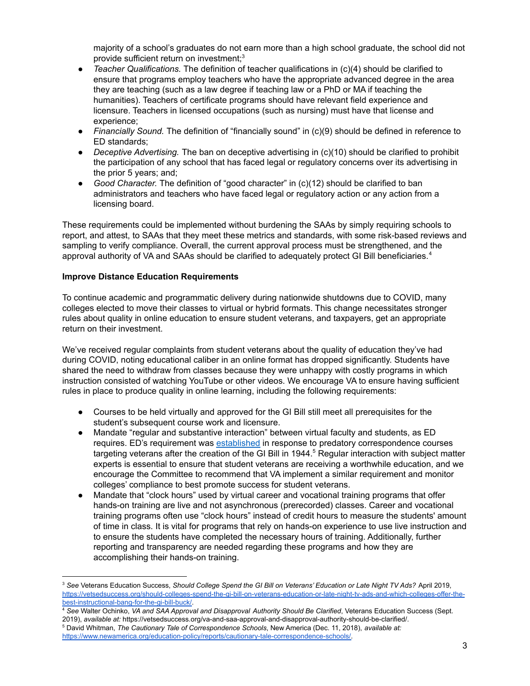majority of a school's graduates do not earn more than a high school graduate, the school did not provide sufficient return on investment;<sup>3</sup>

- *Teacher Qualifications.* The definition of teacher qualifications in (c)(4) should be clarified to ensure that programs employ teachers who have the appropriate advanced degree in the area they are teaching (such as a law degree if teaching law or a PhD or MA if teaching the humanities). Teachers of certificate programs should have relevant field experience and licensure. Teachers in licensed occupations (such as nursing) must have that license and experience;
- *Financially Sound.* The definition of "financially sound" in (c)(9) should be defined in reference to ED standards;
- *Deceptive Advertising.* The ban on deceptive advertising in (c)(10) should be clarified to prohibit the participation of any school that has faced legal or regulatory concerns over its advertising in the prior 5 years; and;
- *Good Character.* The definition of "good character" in (c)(12) should be clarified to ban administrators and teachers who have faced legal or regulatory action or any action from a licensing board.

These requirements could be implemented without burdening the SAAs by simply requiring schools to report, and attest, to SAAs that they meet these metrics and standards, with some risk-based reviews and sampling to verify compliance. Overall, the current approval process must be strengthened, and the approval authority of VA and SAAs should be clarified to adequately protect GI Bill beneficiaries. 4

# **Improve Distance Education Requirements**

To continue academic and programmatic delivery during nationwide shutdowns due to COVID, many colleges elected to move their classes to virtual or hybrid formats. This change necessitates stronger rules about quality in online education to ensure student veterans, and taxpayers, get an appropriate return on their investment.

We've received regular complaints from student veterans about the quality of education they've had during COVID, noting educational caliber in an online format has dropped significantly. Students have shared the need to withdraw from classes because they were unhappy with costly programs in which instruction consisted of watching YouTube or other videos. We encourage VA to ensure having sufficient rules in place to produce quality in online learning, including the following requirements:

- Courses to be held virtually and approved for the GI Bill still meet all prerequisites for the student's subsequent course work and licensure.
- Mandate "regular and substantive interaction" between virtual faculty and students, as ED requires. ED's requirement was [established](https://www.newamerica.org/education-policy/reports/cautionary-tale-correspondence-schools/introduction/) in response to predatory correspondence courses targeting veterans after the creation of the GI Bill in 1944.<sup>5</sup> Regular interaction with subject matter experts is essential to ensure that student veterans are receiving a worthwhile education, and we encourage the Committee to recommend that VA implement a similar requirement and monitor colleges' compliance to best promote success for student veterans.
- Mandate that "clock hours" used by virtual career and vocational training programs that offer hands-on training are live and not asynchronous (prerecorded) classes. Career and vocational training programs often use "clock hours" instead of credit hours to measure the students' amount of time in class. It is vital for programs that rely on hands-on experience to use live instruction and to ensure the students have completed the necessary hours of training. Additionally, further reporting and transparency are needed regarding these programs and how they are accomplishing their hands-on training.

<sup>&</sup>lt;sup>3</sup> See Veterans Education Success, Should College Spend the GI Bill on Veterans' Education or Late Night TV Ads? April 2019, [https://vetsedsuccess.org/should-colleges-spend-the-gi-bill-on-veterans-education-or-late-night-tv-ads-and-which-colleges-offer-the](https://vetsedsuccess.org/should-colleges-spend-the-gi-bill-on-veterans-education-or-late-night-tv-ads-and-which-colleges-offer-the-best-instructional-bang-for-the-gi-bill-buck/)[best-instructional-bang-for-the-gi-bill-buck/.](https://vetsedsuccess.org/should-colleges-spend-the-gi-bill-on-veterans-education-or-late-night-tv-ads-and-which-colleges-offer-the-best-instructional-bang-for-the-gi-bill-buck/)

<sup>4</sup> *See* Walter Ochinko, *VA and SAA Approval and Disapproval Authority Should Be Clarified*, Veterans Education Success (Sept. 2019), *available at:* https://vetsedsuccess.org/va-and-saa-approval-and-disapproval-authority-should-be-clarified/.

<sup>5</sup> David Whitman, *The Cautionary Tale of Correspondence Schools*, New America (Dec. 11, 2018), *available at:* [https://www.newamerica.org/education-policy/reports/cautionary-tale-correspondence-schools/.](https://www.newamerica.org/education-policy/reports/cautionary-tale-correspondence-schools/)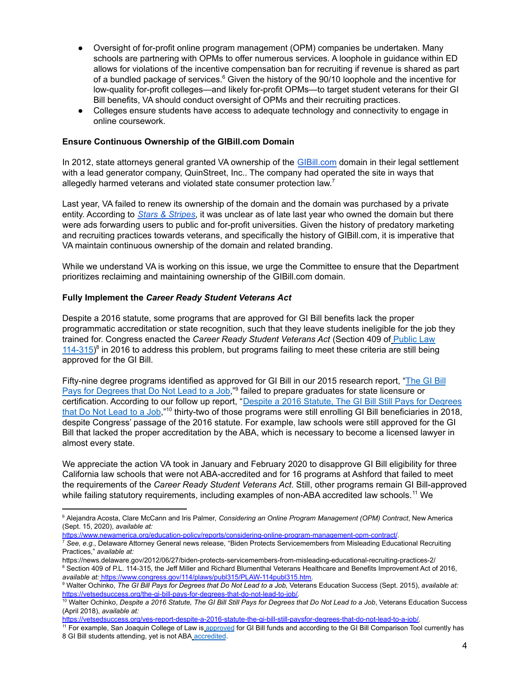- Oversight of for-profit online program management (OPM) companies be undertaken. Many schools are partnering with OPMs to offer numerous services. A loophole in guidance within ED allows for violations of the incentive compensation ban for recruiting if revenue is shared as part of a bundled package of services. $6$  Given the history of the 90/10 loophole and the incentive for low-quality for-profit colleges—and likely for-profit OPMs—to target student veterans for their GI Bill benefits, VA should conduct oversight of OPMs and their recruiting practices.
- Colleges ensure students have access to adequate technology and connectivity to engage in online coursework.

# **Ensure Continuous Ownership of the GIBill.com Domain**

In 2012, state attorneys general granted VA ownership of the [GIBill.com](http://www.gibill.com) domain in their legal settlement with a lead generator company, QuinStreet, Inc.. The company had operated the site in ways that allegedly harmed veterans and violated state consumer protection law. $<sup>7</sup>$ </sup>

Last year, VA failed to renew its ownership of the domain and the domain was purchased by a private entity. According to *Stars & [Stripes](https://www.stripes.com/news/veterans/va-has-lost-gibill-com-rights-and-some-worry-it-could-prompt-scammers-to-target-student-vets-1.648642)*, it was unclear as of late last year who owned the domain but there were ads forwarding users to public and for-profit universities. Given the history of predatory marketing and recruiting practices towards veterans, and specifically the history of GIBill.com, it is imperative that VA maintain continuous ownership of the domain and related branding.

While we understand VA is working on this issue, we urge the Committee to ensure that the Department prioritizes reclaiming and maintaining ownership of the GIBill.com domain.

### **Fully Implement the** *Career Ready Student Veterans Act*

Despite a 2016 statute, some programs that are approved for GI Bill benefits lack the proper programmatic accreditation or state recognition, such that they leave students ineligible for the job they trained for. Congress enacted the *Career Ready Student Veterans Act* (Section 409 of [Public](https://www.congress.gov/114/plaws/publ315/PLAW-114publ315.htm) Law  $(114-315)^8$  $(114-315)^8$  $(114-315)^8$  in 2016 to address this problem, but programs failing to meet these criteria are still being approved for the GI Bill.

Fifty-nine degree programs identified as approved for GI Bill in our 2015 research report, "[The](https://vetsedsuccess.org/the-gi-bill-pays-for-degrees-that-do-not-lead-to-job/) GI Bill Pays for [Degrees](https://vetsedsuccess.org/the-gi-bill-pays-for-degrees-that-do-not-lead-to-job/) that Do Not Lead to a Job,"<sup>9</sup> failed to prepare graduates for state licensure or certification. According to our follow up report, "Despite a 2016 Statute, The GI Bill Still Pays for [Degrees](https://vetsedsuccess.org/ves-report-despite-a-2016-statute-the-gi-bill-still-pays-for-degrees-that-do-not-lead-to-a-job/) that Do Not [Lead](https://vetsedsuccess.org/ves-report-despite-a-2016-statute-the-gi-bill-still-pays-for-degrees-that-do-not-lead-to-a-job/) to a Job,"<sup>10</sup> thirty-two of those programs were still enrolling GI Bill beneficiaries in 2018, despite Congress' passage of the 2016 statute. For example, law schools were still approved for the GI Bill that lacked the proper accreditation by the ABA, which is necessary to become a licensed lawyer in almost every state.

We appreciate the action VA took in January and February 2020 to disapprove GI Bill eligibility for three California law schools that were not ABA-accredited and for 16 programs at Ashford that failed to meet the requirements of the *Career Ready Student Veterans Act*. Still, other programs remain GI Bill-approved while failing statutory requirements, including examples of non-ABA accredited law schools.<sup>11</sup> We

https://www.newamerica.org/education-policy/reports/considering-online-program-management-opm-contract/.

https://vetsedsuccess.org/ves-report-despite-a-2016-statute-the-gi-bill-still-paysfor-degrees-that-do-not-lead-to-a-job/.

<sup>6</sup> Alejandra Acosta, Clare McCann and Iris Palmer, *Considering an Online Program Management (OPM) Contract*, New America (Sept. 15, 2020), *available at:*

<sup>7</sup> *See, e.g.*, Delaware Attorney General news release, "Biden Protects Servicemembers from Misleading Educational Recruiting Practices," *available at:*

<sup>8</sup> Section 409 of P.L. 114-315, the Jeff Miller and Richard Blumenthal Veterans Healthcare and Benefits Improvement Act of 2016, *available at:* https://www.congress.gov/114/plaws/publ315/PLAW-114publ315.htm. https://news.delaware.gov/2012/06/27/biden-protects-servicemembers-from-misleading-educational-recruiting-practices-2/

<sup>&</sup>lt;sup>9</sup> Walter Ochinko, The GI Bill Pays for Degrees that Do Not Lead to a Job, Veterans Education Success (Sept. 2015), available at: https://vetsedsuccess.org/the-gi-bill-pays-for-degrees-that-do-not-lead-to-job/.

<sup>&</sup>lt;sup>10</sup> Walter Ochinko, Despite a 2016 Statute, The GI Bill Still Pays for Degrees that Do Not Lead to a Job, Veterans Education Success (April 2018), *available at:*

<sup>&</sup>lt;sup>11</sup> For example, San Joaquin College of Law is [approved](https://www.va.gov/gi-bill-comparison-tool/profile/31139005) for GI Bill funds and according to the GI Bill Comparison Tool currently has 8 GI Bill students attending, yet is not ABA [accredited](http://www.sjcl.edu/index.php/accreditation).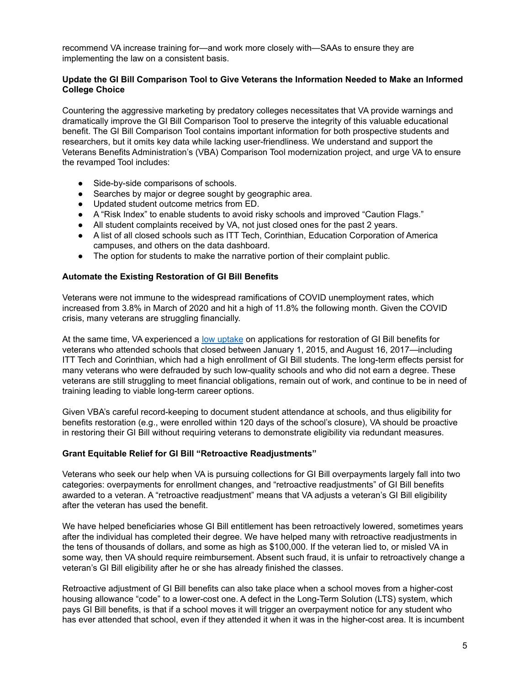recommend VA increase training for—and work more closely with—SAAs to ensure they are implementing the law on a consistent basis.

### **Update the GI Bill Comparison Tool to Give Veterans the Information Needed to Make an Informed College Choice**

Countering the aggressive marketing by predatory colleges necessitates that VA provide warnings and dramatically improve the GI Bill Comparison Tool to preserve the integrity of this valuable educational benefit. The GI Bill Comparison Tool contains important information for both prospective students and researchers, but it omits key data while lacking user-friendliness. We understand and support the Veterans Benefits Administration's (VBA) Comparison Tool modernization project, and urge VA to ensure the revamped Tool includes:

- Side-by-side comparisons of schools.
- Searches by major or degree sought by geographic area.
- Updated student outcome metrics from ED.
- A "Risk Index" to enable students to avoid risky schools and improved "Caution Flags."
- All student complaints received by VA, not just closed ones for the past 2 years.
- A list of all closed schools such as ITT Tech, Corinthian, Education Corporation of America campuses, and others on the data dashboard.
- The option for students to make the narrative portion of their complaint public.

### **Automate the Existing Restoration of GI Bill Benefits**

Veterans were not immune to the widespread ramifications of COVID unemployment rates, which increased from 3.8% in March of 2020 and hit a high of 11.8% the following month. Given the COVID crisis, many veterans are struggling financially.

At the same time, VA experienced a low [uptake](https://rebootcamp.militarytimes.com/news/education/2018/05/07/why-arent-more-vets-applying-to-get-gi-bill-restored/) on applications for restoration of GI Bill benefits for veterans who attended schools that closed between January 1, 2015, and August 16, 2017—including ITT Tech and Corinthian, which had a high enrollment of GI Bill students. The long-term effects persist for many veterans who were defrauded by such low-quality schools and who did not earn a degree. These veterans are still struggling to meet financial obligations, remain out of work, and continue to be in need of training leading to viable long-term career options.

Given VBA's careful record-keeping to document student attendance at schools, and thus eligibility for benefits restoration (e.g., were enrolled within 120 days of the school's closure), VA should be proactive in restoring their GI Bill without requiring veterans to demonstrate eligibility via redundant measures.

#### **Grant Equitable Relief for GI Bill "Retroactive Readjustments"**

Veterans who seek our help when VA is pursuing collections for GI Bill overpayments largely fall into two categories: overpayments for enrollment changes, and "retroactive readjustments" of GI Bill benefits awarded to a veteran. A "retroactive readjustment" means that VA adjusts a veteran's GI Bill eligibility after the veteran has used the benefit.

We have helped beneficiaries whose GI Bill entitlement has been retroactively lowered, sometimes years after the individual has completed their degree. We have helped many with retroactive readjustments in the tens of thousands of dollars, and some as high as \$100,000. If the veteran lied to, or misled VA in some way, then VA should require reimbursement. Absent such fraud, it is unfair to retroactively change a veteran's GI Bill eligibility after he or she has already finished the classes.

Retroactive adjustment of GI Bill benefits can also take place when a school moves from a higher-cost housing allowance "code" to a lower-cost one. A defect in the Long-Term Solution (LTS) system, which pays GI Bill benefits, is that if a school moves it will trigger an overpayment notice for any student who has ever attended that school, even if they attended it when it was in the higher-cost area. It is incumbent